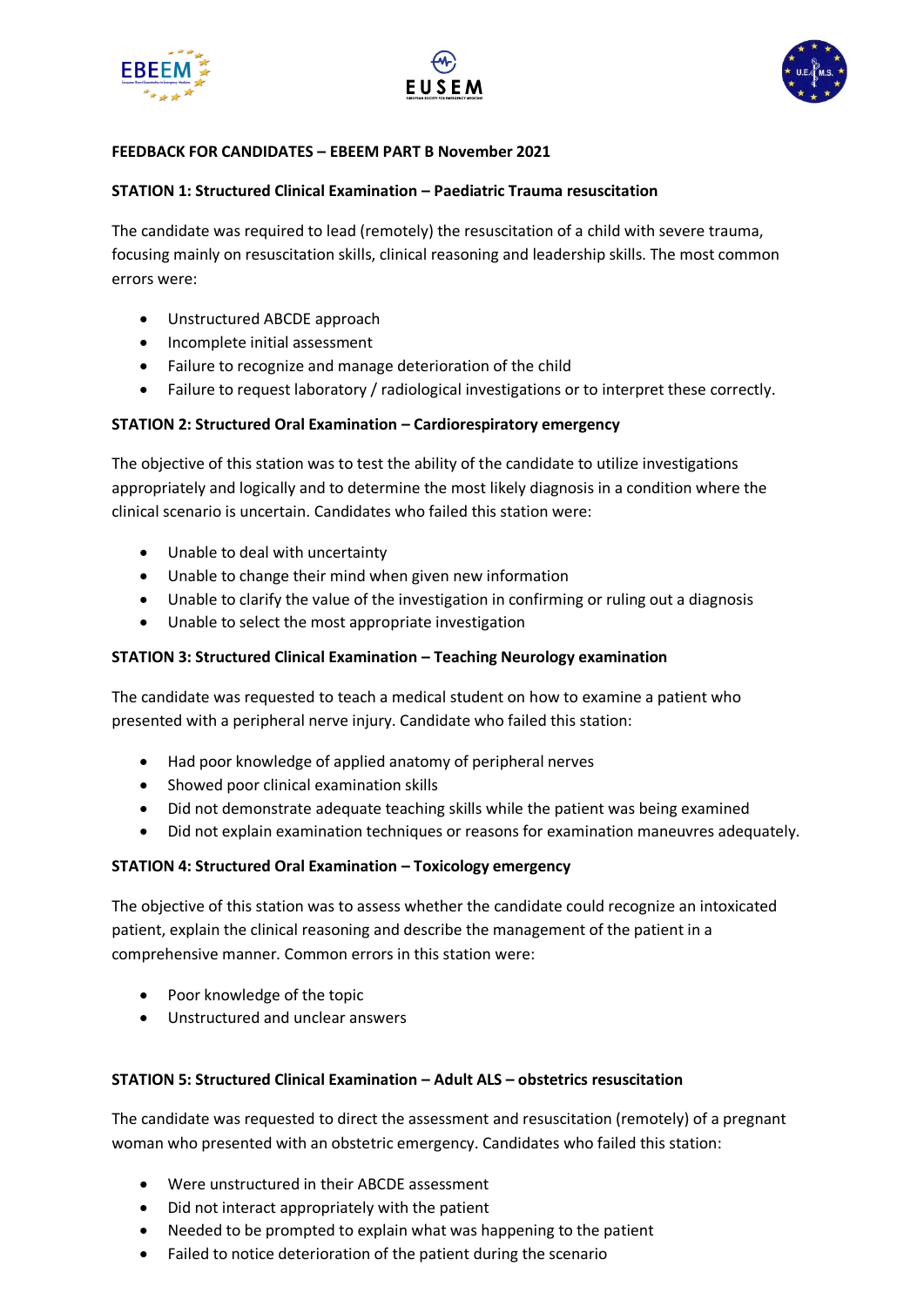





## **FEEDBACK FOR CANDIDATES – EBEEM PART B November 2021**

#### **STATION 1: Structured Clinical Examination – Paediatric Trauma resuscitation**

The candidate was required to lead (remotely) the resuscitation of a child with severe trauma, focusing mainly on resuscitation skills, clinical reasoning and leadership skills. The most common errors were:

- Unstructured ABCDE approach
- Incomplete initial assessment
- Failure to recognize and manage deterioration of the child
- Failure to request laboratory / radiological investigations or to interpret these correctly.

#### **STATION 2: Structured Oral Examination – Cardiorespiratory emergency**

The objective of this station was to test the ability of the candidate to utilize investigations appropriately and logically and to determine the most likely diagnosis in a condition where the clinical scenario is uncertain. Candidates who failed this station were:

- Unable to deal with uncertainty
- Unable to change their mind when given new information
- Unable to clarify the value of the investigation in confirming or ruling out a diagnosis
- Unable to select the most appropriate investigation

#### **STATION 3: Structured Clinical Examination – Teaching Neurology examination**

The candidate was requested to teach a medical student on how to examine a patient who presented with a peripheral nerve injury. Candidate who failed this station:

- Had poor knowledge of applied anatomy of peripheral nerves
- Showed poor clinical examination skills
- Did not demonstrate adequate teaching skills while the patient was being examined
- Did not explain examination techniques or reasons for examination maneuvres adequately.

#### **STATION 4: Structured Oral Examination – Toxicology emergency**

The objective of this station was to assess whether the candidate could recognize an intoxicated patient, explain the clinical reasoning and describe the management of the patient in a comprehensive manner. Common errors in this station were:

- Poor knowledge of the topic
- Unstructured and unclear answers

## **STATION 5: Structured Clinical Examination – Adult ALS – obstetrics resuscitation**

The candidate was requested to direct the assessment and resuscitation (remotely) of a pregnant woman who presented with an obstetric emergency. Candidates who failed this station:

- Were unstructured in their ABCDE assessment
- Did not interact appropriately with the patient
- Needed to be prompted to explain what was happening to the patient
- Failed to notice deterioration of the patient during the scenario